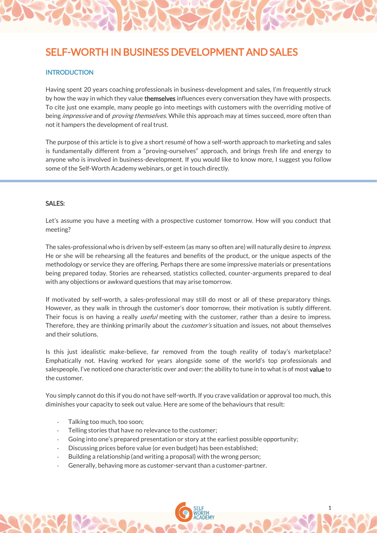# SELF-WORTH IN BUSINESS DEVELOPMENT AND SAI FS

## **INTRODUCTION**

Having spent 20 years coaching professionals in business-development and sales, I'm frequently struck by how the way in which they value **themselves** influences every conversation they have with prospects. To cite just one example, many people go into meetings with customers with the overriding motive of being *impressive* and of *proving themselves*. While this approach may at times succeed, more often than not it hampers the development of real trust.

The purpose of this article is to give a short resumé of how a self-worth approach to marketing and sales is fundamentally different from a "proving-ourselves" approach, and brings fresh life and energy to anyone who is involved in business-development. If you would like to know more, I suggest you follow some of the Self-Worth Academy webinars, or get in touch directly.

#### SALES:

Let's assume you have a meeting with a prospective customer tomorrow. How will you conduct that meeting?

The sales-professional who is driven by self-esteem (as many so often are) will naturally desire to *impress.* He or she will be rehearsing all the features and benefits of the product, or the unique aspects of the methodology or service they are offering. Perhaps there are some impressive materials or presentations being prepared today. Stories are rehearsed, statistics collected, counter-arguments prepared to deal with any objections or awkward questions that may arise tomorrow.

If motivated by self-worth, a sales-professional may still do most or all of these preparatory things. However, as they walk in through the customer's door tomorrow, their motivation is subtly different. Their focus is on having a really useful meeting with the customer, rather than a desire to impress. Therefore, they are thinking primarily about the *customer's* situation and issues, not about themselves and their solutions.

Is this just idealistic make-believe, far removed from the tough reality of today's marketplace? Emphatically not. Having worked for years alongside some of the world's top professionals and salespeople, I've noticed one characteristic over and over: the ability to tune in to what is of most value to the customer.

You simply cannot do this if you do not have self-worth. If you crave validation or approval too much, this diminishes your capacity to seek out value. Here are some of the behaviours that result:

1

- Talking too much, too soon;
- Telling stories that have no relevance to the customer;
- Going into one's prepared presentation or story at the earliest possible opportunity;
- Discussing prices before value (or even budget) has been established;
- Building a relationship (and writing a proposal) with the wrong person;
- Generally, behaving more as customer-servant than a customer-partner.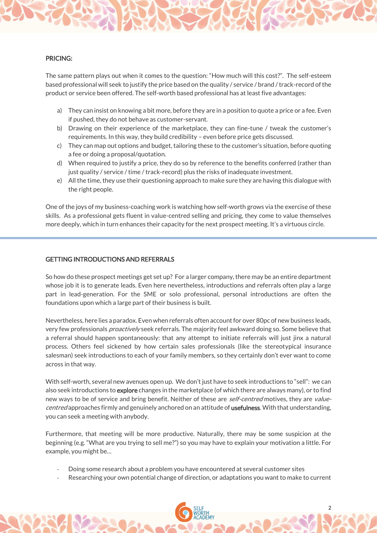

The same pattern plays out when it comes to the question: "How much will this cost?". The self-esteem based professional will seek to justify the price based on the quality / service / brand / track-record of the product or service been offered. The self-worth based professional has at least five advantages:

- a) They can insist on knowing a bit more, before they are in a position to quote a price or a fee. Even if pushed, they do not behave as customer-servant.
- b) Drawing on their experience of the marketplace, they can fine-tune / tweak the customer's requirements. In this way, they build credibility – even before price gets discussed.
- c) They can map out options and budget, tailoring these to the customer's situation, before quoting a fee or doing a proposal/quotation.
- d) When required to justify a price, they do so by reference to the benefits conferred (rather than just quality / service / time / track-record) plus the risks of inadequate investment.
- e) All the time, they use their questioning approach to make sure they are having this dialogue with the right people.

One of the joys of my business-coaching work is watching how self-worth grows via the exercise of these skills. As a professional gets fluent in value-centred selling and pricing, they come to value themselves more deeply, which in turn enhances their capacity for the next prospect meeting. It's a virtuous circle.

#### GETTING INTRODUCTIONS AND REFERRALS

So how do these prospect meetings get set up? For a larger company, there may be an entire department whose job it is to generate leads. Even here nevertheless, introductions and referrals often play a large part in lead-generation. For the SME or solo professional, personal introductions are often the foundations upon which a large part of their business is built.

Nevertheless, here lies a paradox. Even when referrals often account for over 80pc of new business leads, very few professionals *proactively* seek referrals. The majority feel awkward doing so. Some believe that a referral should happen spontaneously: that any attempt to initiate referrals will just jinx a natural process. Others feel sickened by how certain sales professionals (like the stereotypical insurance salesman) seek introductions to each of your family members, so they certainly don't ever want to come across in that way.

With self-worth, several new avenues open up. We don't just have to seek introductions to "sell": we can also seek introductions to explore changes in the marketplace (of which there are always many), or to find new ways to be of service and bring benefit. Neither of these are *self-centred* motives, they are *value*centred approaches firmly and genuinely anchored on an attitude of usefulness. With that understanding, you can seek a meeting with anybody.

Furthermore, that meeting will be more productive. Naturally, there may be some suspicion at the beginning (e.g. "What are you trying to sell me?") so you may have to explain your motivation a little. For example, you might be…

- Doing some research about a problem you have encountered at several customer sites
- Researching your own potential change of direction, or adaptations you want to make to current

2